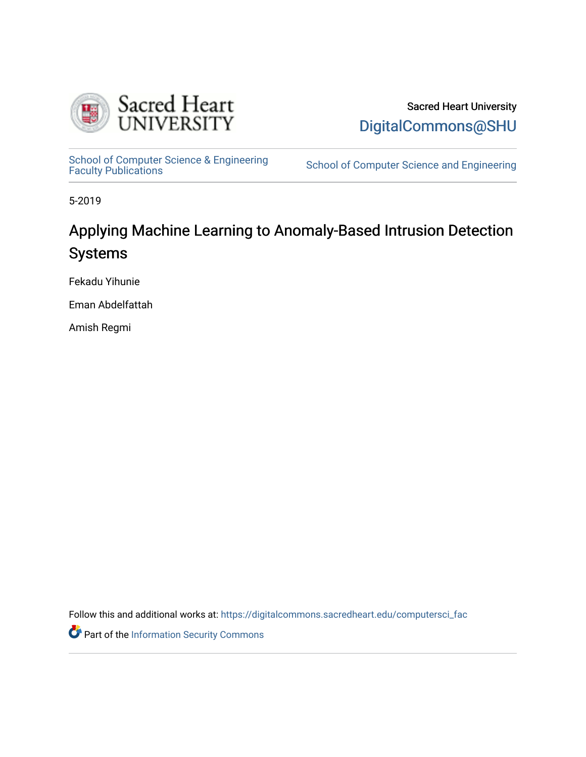

Sacred Heart University [DigitalCommons@SHU](https://digitalcommons.sacredheart.edu/) 

School of Computer Science & Engineering<br>Faculty Publications

School of Computer Science and Engineering

5-2019

# Applying Machine Learning to Anomaly-Based Intrusion Detection Systems

Fekadu Yihunie

Eman Abdelfattah

Amish Regmi

Follow this and additional works at: [https://digitalcommons.sacredheart.edu/computersci\\_fac](https://digitalcommons.sacredheart.edu/computersci_fac?utm_source=digitalcommons.sacredheart.edu%2Fcomputersci_fac%2F137&utm_medium=PDF&utm_campaign=PDFCoverPages) 

Part of the [Information Security Commons](http://network.bepress.com/hgg/discipline/1247?utm_source=digitalcommons.sacredheart.edu%2Fcomputersci_fac%2F137&utm_medium=PDF&utm_campaign=PDFCoverPages)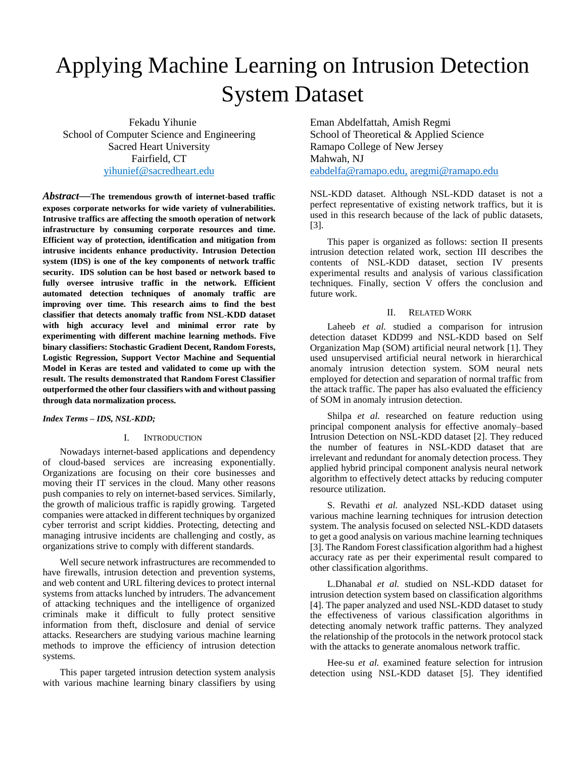# Applying Machine Learning on Intrusion Detection System Dataset

Fekadu Yihunie School of Computer Science and Engineering Sacred Heart University Fairfield, CT [yihunief@sacredheart.edu](mailto:yihunief@sacredheart.edu)

*Abstract***—The tremendous growth of internet-based traffic exposes corporate networks for wide variety of vulnerabilities. Intrusive traffics are affecting the smooth operation of network infrastructure by consuming corporate resources and time. Efficient way of protection, identification and mitigation from intrusive incidents enhance productivity. Intrusion Detection system (IDS) is one of the key components of network traffic security. IDS solution can be host based or network based to fully oversee intrusive traffic in the network. Efficient automated detection techniques of anomaly traffic are improving over time. This research aims to find the best classifier that detects anomaly traffic from NSL-KDD dataset with high accuracy level and minimal error rate by experimenting with different machine learning methods. Five binary classifiers: Stochastic Gradient Decent, Random Forests, Logistic Regression, Support Vector Machine and Sequential Model in Keras are tested and validated to come up with the result. The results demonstrated that Random Forest Classifier outperformed the other four classifiers with and without passing through data normalization process.** 

# *Index Terms – IDS, NSL-KDD;*

# I. INTRODUCTION

Nowadays internet-based applications and dependency of cloud-based services are increasing exponentially. Organizations are focusing on their core businesses and moving their IT services in the cloud. Many other reasons push companies to rely on internet-based services. Similarly, the growth of malicious traffic is rapidly growing. Targeted companies were attacked in different techniques by organized cyber terrorist and script kiddies. Protecting, detecting and managing intrusive incidents are challenging and costly, as organizations strive to comply with different standards.

Well secure network infrastructures are recommended to have firewalls, intrusion detection and prevention systems, and web content and URL filtering devices to protect internal systems from attacks lunched by intruders. The advancement of attacking techniques and the intelligence of organized criminals make it difficult to fully protect sensitive information from theft, disclosure and denial of service attacks. Researchers are studying various machine learning methods to improve the efficiency of intrusion detection systems.

This paper targeted intrusion detection system analysis with various machine learning binary classifiers by using Eman Abdelfattah, Amish Regmi School of Theoretical & Applied Science Ramapo College of New Jersey Mahwah, NJ [eabdelfa@ramapo.edu,](mailto:eabdelfa@ramapo.edu) aregmi@ramapo.edu

NSL-KDD dataset. Although NSL-KDD dataset is not a perfect representative of existing network traffics, but it is used in this research because of the lack of public datasets, [3].

This paper is organized as follows: section II presents intrusion detection related work, section III describes the contents of NSL-KDD dataset, section IV presents experimental results and analysis of various classification techniques. Finally, section V offers the conclusion and future work.

### II. RELATED WORK

Laheeb *et al.* studied a comparison for intrusion detection dataset KDD99 and NSL-KDD based on Self Organization Map (SOM) artificial neural network [1]. They used unsupervised artificial neural network in hierarchical anomaly intrusion detection system. SOM neural nets employed for detection and separation of normal traffic from the attack traffic. The paper has also evaluated the efficiency of SOM in anomaly intrusion detection.

Shilpa *et al.* researched on feature reduction using principal component analysis for effective anomaly–based Intrusion Detection on NSL-KDD dataset [2]. They reduced the number of features in NSL-KDD dataset that are irrelevant and redundant for anomaly detection process. They applied hybrid principal component analysis neural network algorithm to effectively detect attacks by reducing computer resource utilization.

S. Revathi *et al.* analyzed NSL-KDD dataset using various machine learning techniques for intrusion detection system. The analysis focused on selected NSL-KDD datasets to get a good analysis on various machine learning techniques [3]. The Random Forest classification algorithm had a highest accuracy rate as per their experimental result compared to other classification algorithms.

L.Dhanabal *et al.* studied on NSL-KDD dataset for intrusion detection system based on classification algorithms [4]. The paper analyzed and used NSL-KDD dataset to study the effectiveness of various classification algorithms in detecting anomaly network traffic patterns. They analyzed the relationship of the protocols in the network protocol stack with the attacks to generate anomalous network traffic.

Hee-su *et al.* examined feature selection for intrusion detection using NSL-KDD dataset [5]. They identified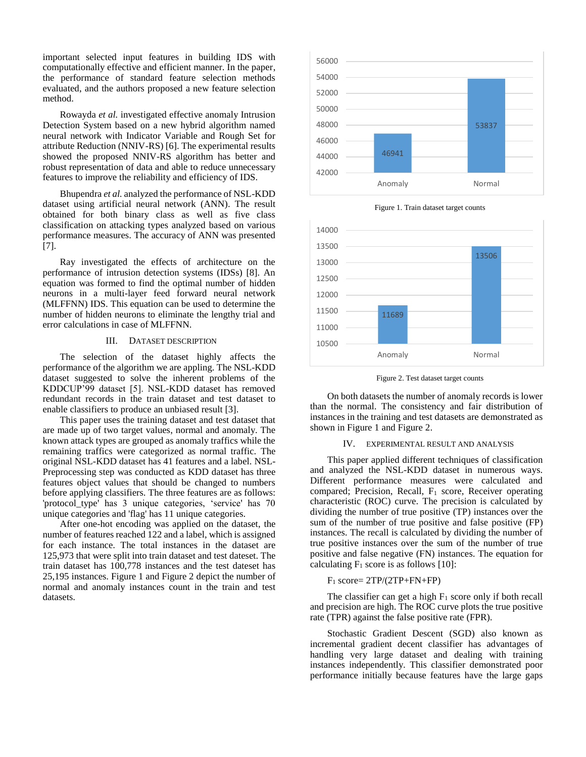important selected input features in building IDS with computationally effective and efficient manner. In the paper, the performance of standard feature selection methods evaluated, and the authors proposed a new feature selection method.

Rowayda *et al.* investigated effective anomaly Intrusion Detection System based on a new hybrid algorithm named neural network with Indicator Variable and Rough Set for attribute Reduction (NNIV-RS) [6]. The experimental results showed the proposed NNIV-RS algorithm has better and robust representation of data and able to reduce unnecessary features to improve the reliability and efficiency of IDS.

Bhupendra *et al.* analyzed the performance of NSL-KDD dataset using artificial neural network (ANN). The result obtained for both binary class as well as five class classification on attacking types analyzed based on various performance measures. The accuracy of ANN was presented [7].

Ray investigated the effects of architecture on the performance of intrusion detection systems (IDSs) [8]. An equation was formed to find the optimal number of hidden neurons in a multi-layer feed forward neural network (MLFFNN) IDS. This equation can be used to determine the number of hidden neurons to eliminate the lengthy trial and error calculations in case of MLFFNN.

# III. DATASET DESCRIPTION

The selection of the dataset highly affects the performance of the algorithm we are appling. The NSL-KDD dataset suggested to solve the inherent problems of the KDDCUP'99 dataset [5]. NSL-KDD dataset has removed redundant records in the train dataset and test dataset to enable classifiers to produce an unbiased result [3].

This paper uses the training dataset and test dataset that are made up of two target values, normal and anomaly. The known attack types are grouped as anomaly traffics while the remaining traffics were categorized as normal traffic. The original NSL-KDD dataset has 41 features and a label. NSL-Preprocessing step was conducted as KDD dataset has three features object values that should be changed to numbers before applying classifiers. The three features are as follows: 'protocol\_type' has 3 unique categories, 'service' has 70 unique categories and 'flag' has 11 unique categories.

After one-hot encoding was applied on the dataset, the number of features reached 122 and a label, which is assigned for each instance. The total instances in the dataset are 125,973 that were split into train dataset and test dateset. The train dataset has 100,778 instances and the test dateset has 25,195 instances. Figure 1 and Figure 2 depict the number of normal and anomaly instances count in the train and test datasets.



Figure 1. Train dataset target counts



Figure 2. Test dataset target counts

On both datasets the number of anomaly records is lower than the normal. The consistency and fair distribution of instances in the training and test datasets are demonstrated as shown in Figure 1 and Figure 2.

### IV. EXPERIMENTAL RESULT AND ANALYSIS

This paper applied different techniques of classification and analyzed the NSL-KDD dataset in numerous ways. Different performance measures were calculated and compared; Precision, Recall,  $F_1$  score, Receiver operating characteristic (ROC) curve. The precision is calculated by dividing the number of true positive (TP) instances over the sum of the number of true positive and false positive (FP) instances. The recall is calculated by dividing the number of true positive instances over the sum of the number of true positive and false negative (FN) instances. The equation for calculating  $F_1$  score is as follows [10]:

# $F_1$  score=  $2TP/(2TP+FN+FP)$

The classifier can get a high  $F_1$  score only if both recall and precision are high. The ROC curve plots the true positive rate (TPR) against the false positive rate (FPR).

Stochastic Gradient Descent (SGD) also known as incremental gradient decent classifier has advantages of handling very large dataset and dealing with training instances independently. This classifier demonstrated poor performance initially because features have the large gaps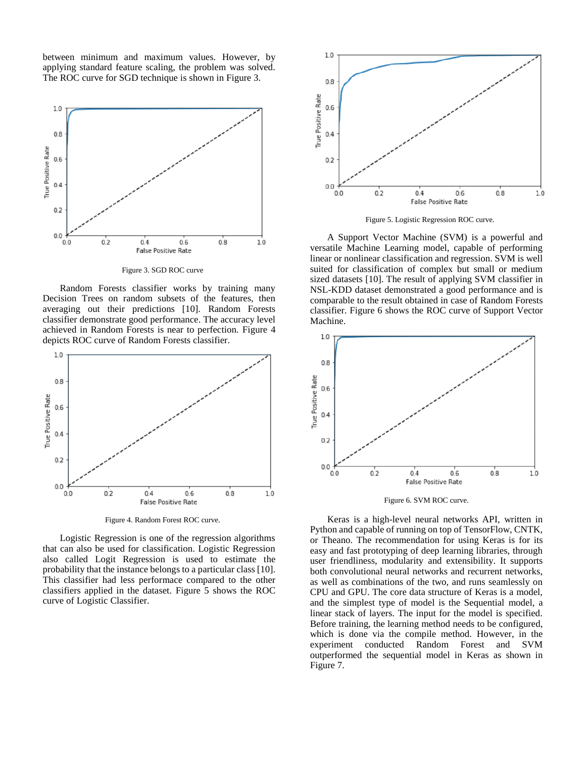between minimum and maximum values. However, by applying standard feature scaling, the problem was solved. The ROC curve for SGD technique is shown in Figure 3.



Figure 3. SGD ROC curve

Random Forests classifier works by training many Decision Trees on random subsets of the features, then averaging out their predictions [10]. Random Forests classifier demonstrate good performance. The accuracy level achieved in Random Forests is near to perfection. Figure 4 depicts ROC curve of Random Forests classifier.



Figure 4. Random Forest ROC curve.

Logistic Regression is one of the regression algorithms that can also be used for classification. Logistic Regression also called Logit Regression is used to estimate the probability that the instance belongs to a particular class [10]. This classifier had less performace compared to the other classifiers applied in the dataset. Figure 5 shows the ROC curve of Logistic Classifier.



Figure 5. Logistic Regression ROC curve.

A Support Vector Machine (SVM) is a powerful and versatile Machine Learning model, capable of performing linear or nonlinear classification and regression. SVM is well suited for classification of complex but small or medium sized datasets [10]. The result of applying SVM classifier in NSL-KDD dataset demonstrated a good performance and is comparable to the result obtained in case of Random Forests classifier. Figure 6 shows the ROC curve of Support Vector Machine.



Figure 6. SVM ROC curve.

Keras is a high-level neural networks API, written in Python and capable of running on top of TensorFlow, CNTK, or Theano. The recommendation for using Keras is for its easy and fast prototyping of deep learning libraries, through user friendliness, modularity and extensibility. It supports both convolutional neural networks and recurrent networks, as well as combinations of the two, and runs seamlessly on CPU and GPU. The core data structure of Keras is a model, and the simplest type of model is the Sequential model, a linear stack of layers. The input for the model is specified. Before training, the learning method needs to be configured, which is done via the compile method. However, in the experiment conducted Random Forest and SVM outperformed the sequential model in Keras as shown in Figure 7.